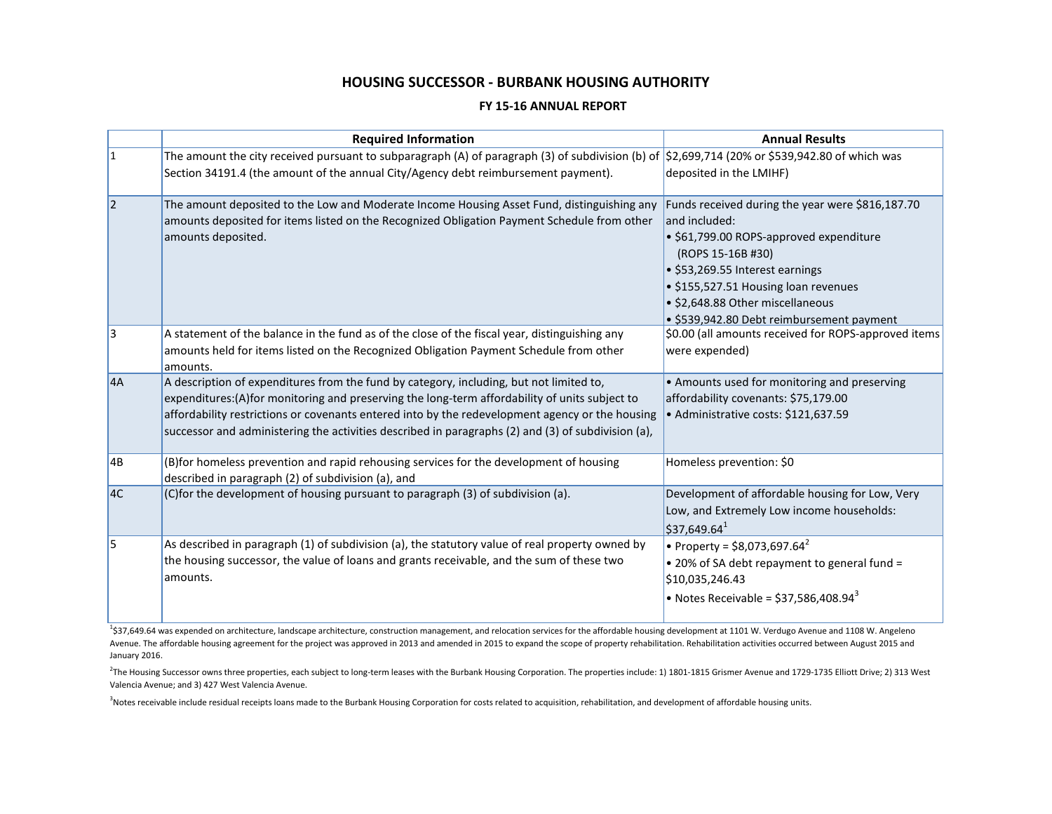### **HOUSING SUCCESSOR - BURBANK HOUSING AUTHORITY**

#### **FY 15-16 ANNUAL REPORT**

|                 | <b>Required Information</b>                                                                                                                                                                                                                                                                                                                                                                       | <b>Annual Results</b>                                                                                                                                                                                                                                                                         |
|-----------------|---------------------------------------------------------------------------------------------------------------------------------------------------------------------------------------------------------------------------------------------------------------------------------------------------------------------------------------------------------------------------------------------------|-----------------------------------------------------------------------------------------------------------------------------------------------------------------------------------------------------------------------------------------------------------------------------------------------|
| $\mathbf{1}$    | The amount the city received pursuant to subparagraph (A) of paragraph (3) of subdivision (b) of $ \$2,699,714$ (20% or \$539,942.80 of which was                                                                                                                                                                                                                                                 |                                                                                                                                                                                                                                                                                               |
|                 | Section 34191.4 (the amount of the annual City/Agency debt reimbursement payment).                                                                                                                                                                                                                                                                                                                | deposited in the LMIHF)                                                                                                                                                                                                                                                                       |
| $\overline{2}$  | The amount deposited to the Low and Moderate Income Housing Asset Fund, distinguishing any<br>amounts deposited for items listed on the Recognized Obligation Payment Schedule from other<br>amounts deposited.                                                                                                                                                                                   | Funds received during the year were \$816,187.70<br>and included:<br>· \$61,799.00 ROPS-approved expenditure<br>(ROPS 15-16B #30)<br>• \$53,269.55 Interest earnings<br>• \$155,527.51 Housing loan revenues<br>· \$2,648.88 Other miscellaneous<br>· \$539,942.80 Debt reimbursement payment |
| 3               | A statement of the balance in the fund as of the close of the fiscal year, distinguishing any<br>amounts held for items listed on the Recognized Obligation Payment Schedule from other<br>amounts.                                                                                                                                                                                               | \$0.00 (all amounts received for ROPS-approved items<br>were expended)                                                                                                                                                                                                                        |
| 4A              | A description of expenditures from the fund by category, including, but not limited to,<br>expenditures:(A)for monitoring and preserving the long-term affordability of units subject to<br>affordability restrictions or covenants entered into by the redevelopment agency or the housing<br>successor and administering the activities described in paragraphs (2) and (3) of subdivision (a), | • Amounts used for monitoring and preserving<br>affordability covenants: \$75,179.00<br>· Administrative costs: \$121,637.59                                                                                                                                                                  |
| $\overline{AB}$ | (B) for homeless prevention and rapid rehousing services for the development of housing<br>described in paragraph (2) of subdivision (a), and                                                                                                                                                                                                                                                     | Homeless prevention: \$0                                                                                                                                                                                                                                                                      |
| AC.             | (C)for the development of housing pursuant to paragraph (3) of subdivision (a).                                                                                                                                                                                                                                                                                                                   | Development of affordable housing for Low, Very<br>Low, and Extremely Low income households:<br>\$37,649.64 <sup>1</sup>                                                                                                                                                                      |
| 5               | As described in paragraph (1) of subdivision (a), the statutory value of real property owned by<br>the housing successor, the value of loans and grants receivable, and the sum of these two<br>amounts.                                                                                                                                                                                          | • Property = \$8,073,697.64 <sup>2</sup><br>. 20% of SA debt repayment to general fund =<br>\$10,035,246.43<br>• Notes Receivable = $$37,586,408.94^3$                                                                                                                                        |

<sup>1</sup>\$37,649.64 was expended on architecture, landscape architecture, construction management, and relocation services for the affordable housing development at 1101 W. Verdugo Avenue and 1108 W. Angeleno Avenue. The affordable housing agreement for the project was approved in 2013 and amended in 2015 to expand the scope of property rehabilitation. Rehabilitation activities occurred between August 2015 and January 2016.

<sup>2</sup>The Housing Successor owns three properties, each subject to long-term leases with the Burbank Housing Corporation. The properties include: 1) 1801-1815 Grismer Avenue and 1729-1735 Elliott Drive; 2) 313 West Valencia Avenue; and 3) 427 West Valencia Avenue.

<sup>3</sup>Notes receivable include residual receipts loans made to the Burbank Housing Corporation for costs related to acquisition, rehabilitation, and development of affordable housing units.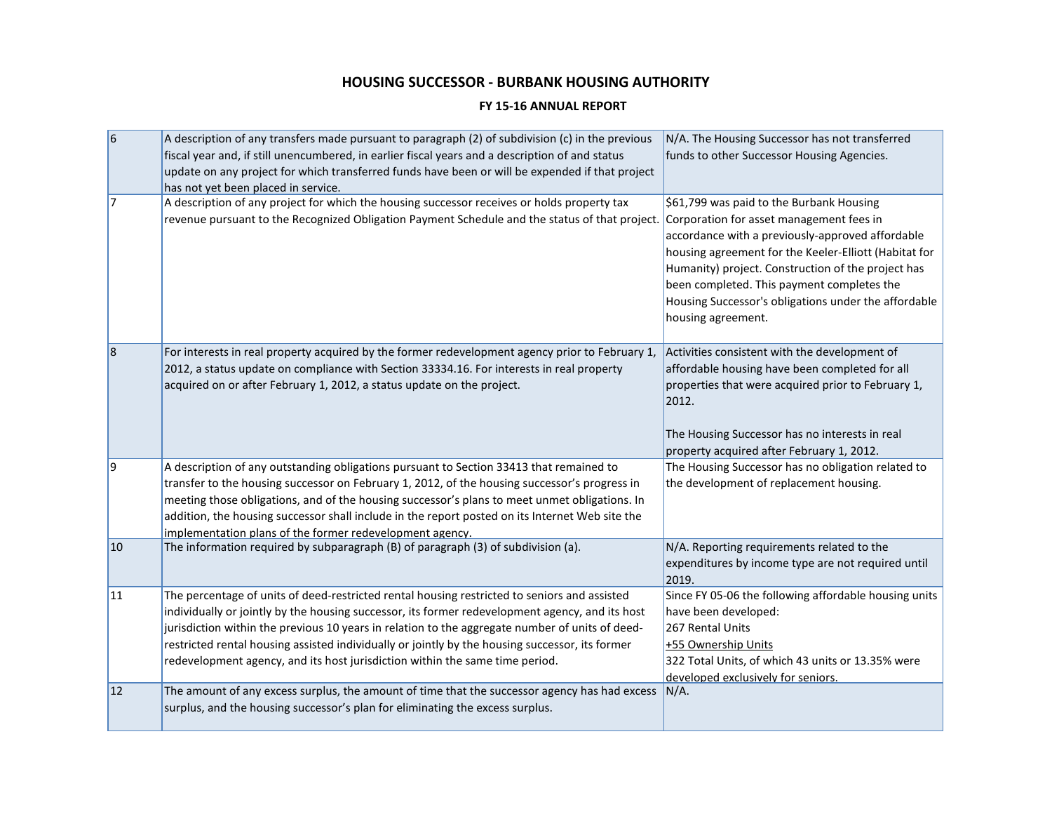# **HOUSING SUCCESSOR - BURBANK HOUSING AUTHORITY**

### **FY 15-16 ANNUAL REPORT**

| 6  | A description of any transfers made pursuant to paragraph (2) of subdivision (c) in the previous<br>fiscal year and, if still unencumbered, in earlier fiscal years and a description of and status<br>update on any project for which transferred funds have been or will be expended if that project<br>has not yet been placed in service.                                                                                                                                         | N/A. The Housing Successor has not transferred<br>funds to other Successor Housing Agencies.                                                                                                                                                                                                                                                                                        |
|----|---------------------------------------------------------------------------------------------------------------------------------------------------------------------------------------------------------------------------------------------------------------------------------------------------------------------------------------------------------------------------------------------------------------------------------------------------------------------------------------|-------------------------------------------------------------------------------------------------------------------------------------------------------------------------------------------------------------------------------------------------------------------------------------------------------------------------------------------------------------------------------------|
| 17 | A description of any project for which the housing successor receives or holds property tax<br>revenue pursuant to the Recognized Obligation Payment Schedule and the status of that project.                                                                                                                                                                                                                                                                                         | \$61,799 was paid to the Burbank Housing<br>Corporation for asset management fees in<br>accordance with a previously-approved affordable<br>housing agreement for the Keeler-Elliott (Habitat for<br>Humanity) project. Construction of the project has<br>been completed. This payment completes the<br>Housing Successor's obligations under the affordable<br>housing agreement. |
| 8  | For interests in real property acquired by the former redevelopment agency prior to February 1,<br>2012, a status update on compliance with Section 33334.16. For interests in real property<br>acquired on or after February 1, 2012, a status update on the project.                                                                                                                                                                                                                | Activities consistent with the development of<br>affordable housing have been completed for all<br>properties that were acquired prior to February 1,<br>2012.<br>The Housing Successor has no interests in real<br>property acquired after February 1, 2012.                                                                                                                       |
| 9  | A description of any outstanding obligations pursuant to Section 33413 that remained to<br>transfer to the housing successor on February 1, 2012, of the housing successor's progress in<br>meeting those obligations, and of the housing successor's plans to meet unmet obligations. In<br>addition, the housing successor shall include in the report posted on its Internet Web site the<br>implementation plans of the former redevelopment agency.                              | The Housing Successor has no obligation related to<br>the development of replacement housing.                                                                                                                                                                                                                                                                                       |
| 10 | The information required by subparagraph (B) of paragraph (3) of subdivision (a).                                                                                                                                                                                                                                                                                                                                                                                                     | N/A. Reporting requirements related to the<br>expenditures by income type are not required until<br>2019.                                                                                                                                                                                                                                                                           |
| 11 | The percentage of units of deed-restricted rental housing restricted to seniors and assisted<br>individually or jointly by the housing successor, its former redevelopment agency, and its host<br>jurisdiction within the previous 10 years in relation to the aggregate number of units of deed-<br>restricted rental housing assisted individually or jointly by the housing successor, its former<br>redevelopment agency, and its host jurisdiction within the same time period. | Since FY 05-06 the following affordable housing units<br>have been developed:<br>267 Rental Units<br>+55 Ownership Units<br>322 Total Units, of which 43 units or 13.35% were<br>developed exclusively for seniors.                                                                                                                                                                 |
| 12 | The amount of any excess surplus, the amount of time that the successor agency has had excess<br>surplus, and the housing successor's plan for eliminating the excess surplus.                                                                                                                                                                                                                                                                                                        | N/A.                                                                                                                                                                                                                                                                                                                                                                                |